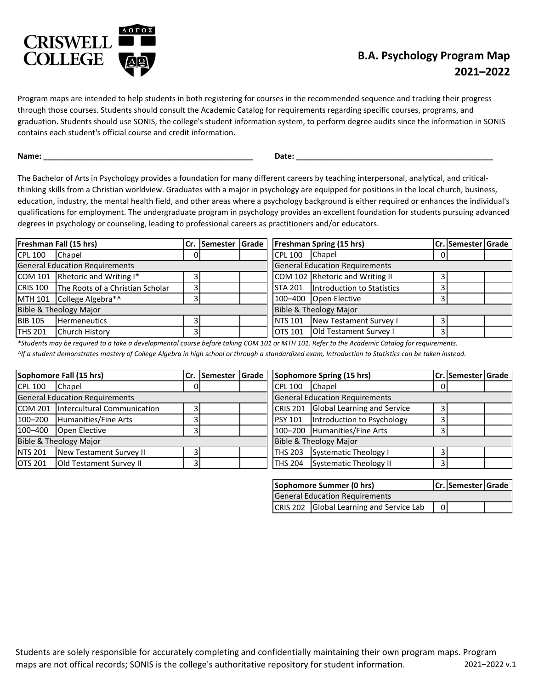

## **B.A. Psychology Program Map 2021–2022**

Program maps are intended to help students in both registering for courses in the recommended sequence and tracking their progress through those courses. Students should consult the Academic Catalog for requirements regarding specific courses, programs, and graduation. Students should use SONIS, the college's student information system, to perform degree audits since the information in SONIS contains each student's official course and credit information.

**Name: \_\_\_\_\_\_\_\_\_\_\_\_\_\_\_\_\_\_\_\_\_\_\_\_\_\_\_\_\_\_\_\_\_\_\_\_\_\_\_\_\_\_\_\_\_\_\_\_\_ Date: \_\_\_\_\_\_\_\_\_\_\_\_\_\_\_\_\_\_\_\_\_\_\_\_\_\_\_\_\_\_\_\_\_\_\_\_\_\_\_\_\_\_\_\_\_\_**

The Bachelor of Arts in Psychology provides a foundation for many different careers by teaching interpersonal, analytical, and criticalthinking skills from a Christian worldview. Graduates with a major in psychology are equipped for positions in the local church, business, education, industry, the mental health field, and other areas where a psychology background is either required or enhances the individual's qualifications for employment. The undergraduate program in psychology provides an excellent foundation for students pursuing advanced degrees in psychology or counseling, leading to professional careers as practitioners and/or educators.

|                                       | Freshman Fall (15 hrs)                    |    | Cr. Semester Grade                    |  |  |                        | <b>Freshman Spring (15 hrs)</b>      |  | <b>Cr. Semester Grade</b> |  |
|---------------------------------------|-------------------------------------------|----|---------------------------------------|--|--|------------------------|--------------------------------------|--|---------------------------|--|
| <b>CPL 100</b>                        | Chapel                                    | οı |                                       |  |  | <b>CPL 100</b>         | <b>Chapel</b>                        |  |                           |  |
| <b>General Education Requirements</b> |                                           |    | <b>General Education Requirements</b> |  |  |                        |                                      |  |                           |  |
|                                       | COM 101 Rhetoric and Writing I*           |    |                                       |  |  |                        | COM 102 Rhetoric and Writing II      |  |                           |  |
|                                       | CRIS 100 The Roots of a Christian Scholar |    |                                       |  |  |                        | STA 201   Introduction to Statistics |  |                           |  |
|                                       | MTH 101 College Algebra*^                 |    |                                       |  |  |                        | 100-400 Open Elective                |  |                           |  |
| Bible & Theology Major                |                                           |    |                                       |  |  | Bible & Theology Major |                                      |  |                           |  |
| <b>BIB 105</b>                        | <b>Hermeneutics</b>                       |    |                                       |  |  |                        | NTS 101 New Testament Survey I       |  |                           |  |
| <b>THS 201</b>                        | <b>Church History</b>                     |    |                                       |  |  |                        | OTS 101 Old Testament Survey I       |  |                           |  |

*\*Students may be required to a take a developmental course before taking COM 101 or MTH 101. Refer to the Academic Catalog for requirements.*

*^If a student demonstrates mastery of College Algebra in high school or through a standardized exam, Introduction to Statistics can be taken instead.*

| Sophomore Fall (15 hrs)<br>Cr. Semester Grade |                                     | Sophomore Spring (15 hrs) |                                       |  | <b>ICr. ISemester IGrade</b> |                                      |  |  |  |
|-----------------------------------------------|-------------------------------------|---------------------------|---------------------------------------|--|------------------------------|--------------------------------------|--|--|--|
| <b>CPL 100</b>                                | Chapel                              |                           |                                       |  | <b>CPL 100</b>               | Chapel                               |  |  |  |
| <b>General Education Requirements</b>         |                                     |                           | <b>General Education Requirements</b> |  |                              |                                      |  |  |  |
|                                               | COM 201 Intercultural Communication |                           |                                       |  |                              | CRIS 201 Global Learning and Service |  |  |  |
|                                               | 100-200 Humanities/Fine Arts        |                           |                                       |  | <b>PSY 101</b>               | Introduction to Psychology           |  |  |  |
| 100-400                                       | Open Elective                       |                           |                                       |  |                              | 100-200 Humanities/Fine Arts         |  |  |  |
| Bible & Theology Major                        |                                     |                           |                                       |  |                              | <b>Bible &amp; Theology Major</b>    |  |  |  |
| NTS 201                                       | New Testament Survey II             |                           |                                       |  | <b>THS 203</b>               | Systematic Theology I                |  |  |  |
| <b>OTS 201</b>                                | <b>Old Testament Survey II</b>      |                           |                                       |  |                              | THS 204 Systematic Theology II       |  |  |  |

|                                          | Sophomore Summer (0 hrs) |  | Cr. Semester Grade |  |  |
|------------------------------------------|--------------------------|--|--------------------|--|--|
| <b>General Education Requirements</b>    |                          |  |                    |  |  |
| CRIS 202 Global Learning and Service Lab |                          |  |                    |  |  |